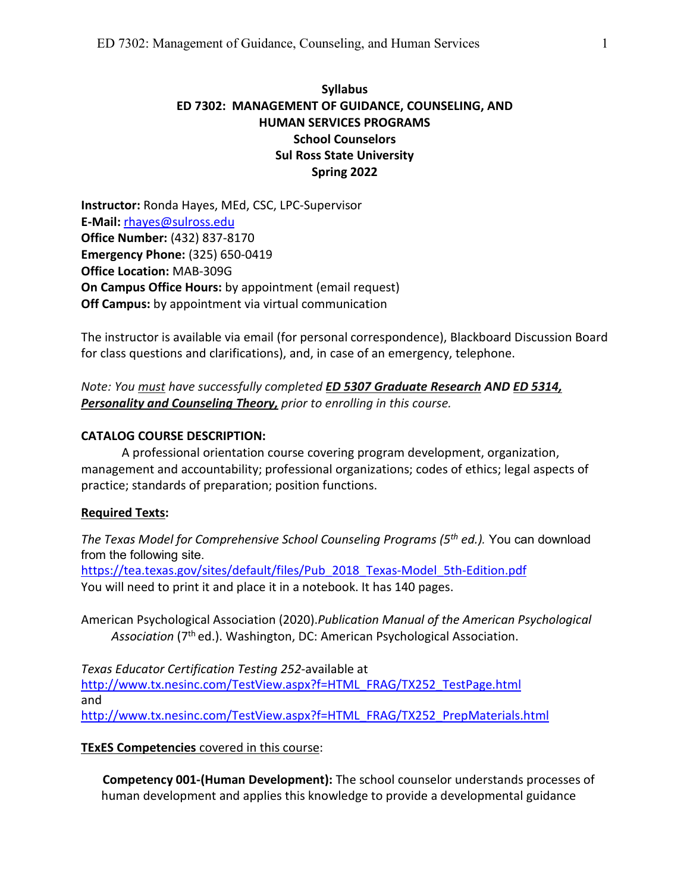# **Syllabus ED 7302: MANAGEMENT OF GUIDANCE, COUNSELING, AND HUMAN SERVICES PROGRAMS School Counselors Sul Ross State University Spring 2022**

**Instructor:** Ronda Hayes, MEd, CSC, LPC-Supervisor **E-Mail:** [rhayes@sulross.edu](mailto:rhayes@sulross.edu) **Office Number:** (432) 837-8170 **Emergency Phone:** (325) 650-0419 **Office Location:** MAB-309G **On Campus Office Hours:** by appointment (email request) **Off Campus:** by appointment via virtual communication

The instructor is available via email (for personal correspondence), Blackboard Discussion Board for class questions and clarifications), and, in case of an emergency, telephone.

# *Note: You must have successfully completed ED 5307 Graduate Research AND ED 5314, Personality and Counseling Theory, prior to enrolling in this course.*

### **CATALOG COURSE DESCRIPTION:**

A professional orientation course covering program development, organization, management and accountability; professional organizations; codes of ethics; legal aspects of practice; standards of preparation; position functions.

#### **Required Texts:**

*The Texas Model for Comprehensive School Counseling Programs (5th ed.).* You can download from the following site. [https://tea.texas.gov/sites/default/files/Pub\\_2018\\_Texas-Model\\_5th-Edition.pdf](https://tea.texas.gov/sites/default/files/Pub_2018_Texas-Model_5th-Edition.pdf) You will need to print it and place it in a notebook. It has 140 pages.

American Psychological Association (2020).*Publication Manual of the American Psychological*  Association (7<sup>th</sup> ed.). Washington, DC: American Psychological Association.

*Texas Educator Certification Testing 252*-available at [http://www.tx.nesinc.com/TestView.aspx?f=HTML\\_FRAG/TX252\\_TestPage.html](http://www.tx.nesinc.com/TestView.aspx?f=HTML_FRAG/TX252_TestPage.html) and [http://www.tx.nesinc.com/TestView.aspx?f=HTML\\_FRAG/TX252\\_PrepMaterials.html](http://www.tx.nesinc.com/TestView.aspx?f=HTML_FRAG/TX252_PrepMaterials.html)

## **TExES Competencies** covered in this course:

**Competency 001-(Human Development):** The school counselor understands processes of human development and applies this knowledge to provide a developmental guidance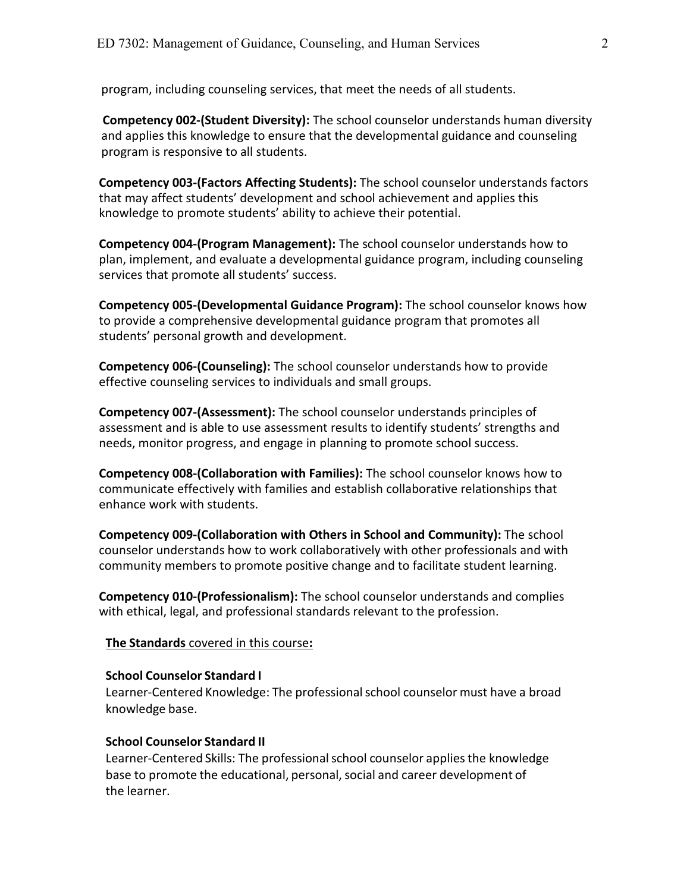program, including counseling services, that meet the needs of all students.

**Competency 002-(Student Diversity):** The school counselor understands human diversity and applies this knowledge to ensure that the developmental guidance and counseling program is responsive to all students.

**Competency 003-(Factors Affecting Students):** The school counselor understands factors that may affect students' development and school achievement and applies this knowledge to promote students' ability to achieve their potential.

**Competency 004-(Program Management):** The school counselor understands how to plan, implement, and evaluate a developmental guidance program, including counseling services that promote all students' success.

**Competency 005-(Developmental Guidance Program):** The school counselor knows how to provide a comprehensive developmental guidance program that promotes all students' personal growth and development.

**Competency 006-(Counseling):** The school counselor understands how to provide effective counseling services to individuals and small groups.

**Competency 007-(Assessment):** The school counselor understands principles of assessment and is able to use assessment results to identify students' strengths and needs, monitor progress, and engage in planning to promote school success.

**Competency 008-(Collaboration with Families):** The school counselor knows how to communicate effectively with families and establish collaborative relationships that enhance work with students.

**Competency 009-(Collaboration with Others in School and Community):** The school counselor understands how to work collaboratively with other professionals and with community members to promote positive change and to facilitate student learning.

**Competency 010-(Professionalism):** The school counselor understands and complies with ethical, legal, and professional standards relevant to the profession.

#### **The Standards** covered in this course**:**

#### **School Counselor Standard I**

Learner-Centered Knowledge: The professional school counselor must have a broad knowledge base.

#### **School Counselor Standard II**

Learner-Centered Skills: The professional school counselor applies the knowledge base to promote the educational, personal, social and career development of the learner.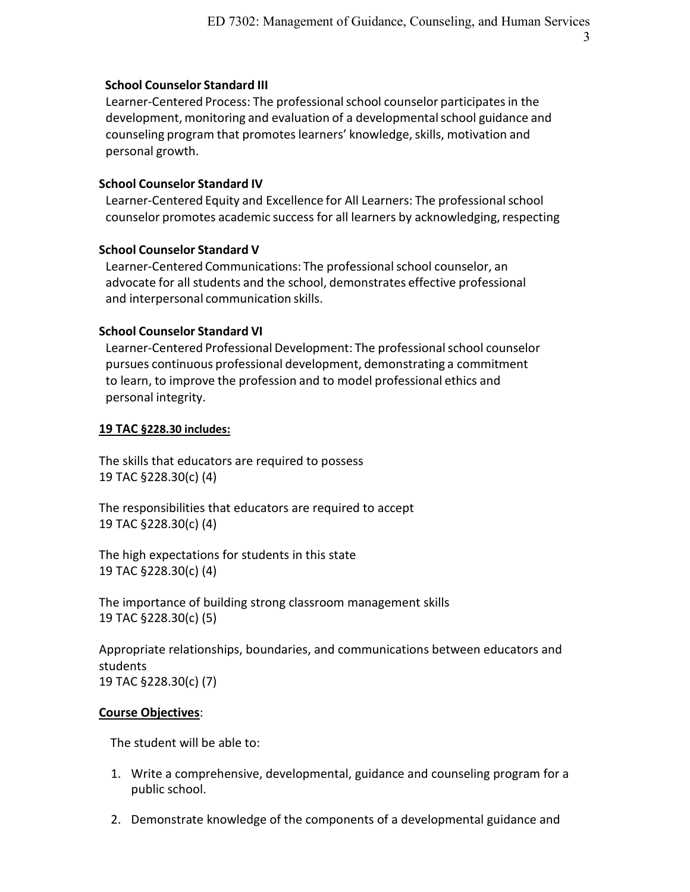3

### **School Counselor Standard III**

Learner-Centered Process: The professional school counselor participates in the development, monitoring and evaluation of a developmentalschool guidance and counseling program that promotes learners' knowledge, skills, motivation and personal growth.

## **School Counselor Standard IV**

Learner-Centered Equity and Excellence for All Learners: The professionalschool counselor promotes academic success for all learners by acknowledging, respecting

### **School Counselor Standard V**

Learner-Centered Communications: The professional school counselor, an advocate for all students and the school, demonstrates effective professional and interpersonal communication skills.

### **School Counselor Standard VI**

Learner-Centered Professional Development: The professional school counselor pursues continuous professional development, demonstrating a commitment to learn, to improve the profession and to model professional ethics and personal integrity.

### **19 TAC §228.30 includes:**

The skills that educators are required to possess 19 TAC §228.30(c) (4)

The responsibilities that educators are required to accept 19 TAC §228.30(c) (4)

The high expectations for students in this state 19 TAC §228.30(c) (4)

The importance of building strong classroom management skills 19 TAC §228.30(c) (5)

Appropriate relationships, boundaries, and communications between educators and students 19 TAC §228.30(c) (7)

#### **Course Objectives**:

The student will be able to:

- 1. Write a comprehensive, developmental, guidance and counseling program for a public school.
- 2. Demonstrate knowledge of the components of a developmental guidance and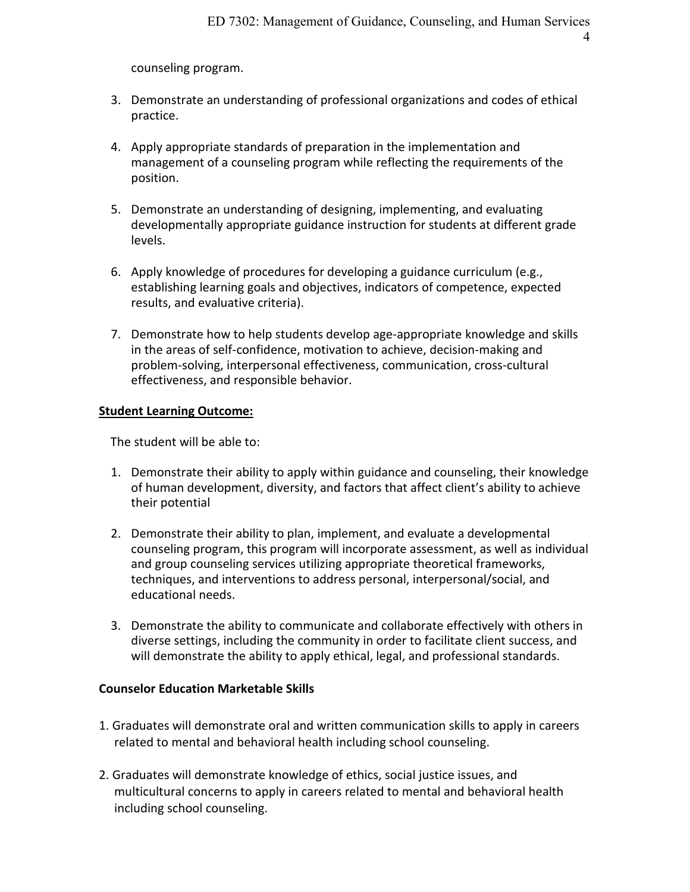4

counseling program.

- 3. Demonstrate an understanding of professional organizations and codes of ethical practice.
- 4. Apply appropriate standards of preparation in the implementation and management of a counseling program while reflecting the requirements of the position.
- 5. Demonstrate an understanding of designing, implementing, and evaluating developmentally appropriate guidance instruction for students at different grade levels.
- 6. Apply knowledge of procedures for developing a guidance curriculum (e.g., establishing learning goals and objectives, indicators of competence, expected results, and evaluative criteria).
- 7. Demonstrate how to help students develop age-appropriate knowledge and skills in the areas of self-confidence, motivation to achieve, decision-making and problem-solving, interpersonal effectiveness, communication, cross-cultural effectiveness, and responsible behavior.

#### **Student Learning Outcome:**

The student will be able to:

- 1. Demonstrate their ability to apply within guidance and counseling, their knowledge of human development, diversity, and factors that affect client's ability to achieve their potential
- 2. Demonstrate their ability to plan, implement, and evaluate a developmental counseling program, this program will incorporate assessment, as well as individual and group counseling services utilizing appropriate theoretical frameworks, techniques, and interventions to address personal, interpersonal/social, and educational needs.
- 3. Demonstrate the ability to communicate and collaborate effectively with others in diverse settings, including the community in order to facilitate client success, and will demonstrate the ability to apply ethical, legal, and professional standards.

### **Counselor Education Marketable Skills**

- 1. Graduates will demonstrate oral and written communication skills to apply in careers related to mental and behavioral health including school counseling.
- 2. Graduates will demonstrate knowledge of ethics, social justice issues, and multicultural concerns to apply in careers related to mental and behavioral health including school counseling.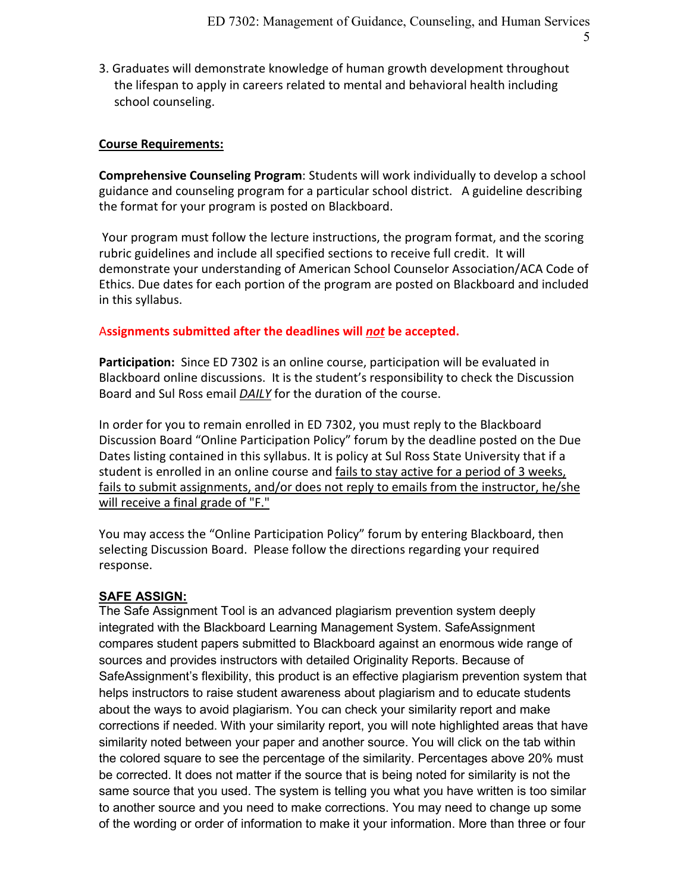5

3. Graduates will demonstrate knowledge of human growth development throughout the lifespan to apply in careers related to mental and behavioral health including school counseling.

## **Course Requirements:**

**Comprehensive Counseling Program**: Students will work individually to develop a school guidance and counseling program for a particular school district. A guideline describing the format for your program is posted on Blackboard.

Your program must follow the lecture instructions, the program format, and the scoring rubric guidelines and include all specified sections to receive full credit. It will demonstrate your understanding of American School Counselor Association/ACA Code of Ethics. Due dates for each portion of the program are posted on Blackboard and included in this syllabus.

## A**ssignments submitted after the deadlines will** *not* **be accepted.**

**Participation:** Since ED 7302 is an online course, participation will be evaluated in Blackboard online discussions. It is the student's responsibility to check the Discussion Board and Sul Ross email *DAILY* for the duration of the course.

In order for you to remain enrolled in ED 7302, you must reply to the Blackboard Discussion Board "Online Participation Policy" forum by the deadline posted on the Due Dates listing contained in this syllabus. It is policy at Sul Ross State University that if a student is enrolled in an online course and fails to stay active for a period of 3 weeks, fails to submit assignments, and/or does not reply to emails from the instructor, he/she will receive a final grade of "F."

You may access the "Online Participation Policy" forum by entering Blackboard, then selecting Discussion Board. Please follow the directions regarding your required response.

#### **SAFE ASSIGN:**

The Safe Assignment Tool is an advanced plagiarism prevention system deeply integrated with the Blackboard Learning Management System. SafeAssignment compares student papers submitted to Blackboard against an enormous wide range of sources and provides instructors with detailed Originality Reports. Because of SafeAssignment's flexibility, this product is an effective plagiarism prevention system that helps instructors to raise student awareness about plagiarism and to educate students about the ways to avoid plagiarism. You can check your similarity report and make corrections if needed. With your similarity report, you will note highlighted areas that have similarity noted between your paper and another source. You will click on the tab within the colored square to see the percentage of the similarity. Percentages above 20% must be corrected. It does not matter if the source that is being noted for similarity is not the same source that you used. The system is telling you what you have written is too similar to another source and you need to make corrections. You may need to change up some of the wording or order of information to make it your information. More than three or four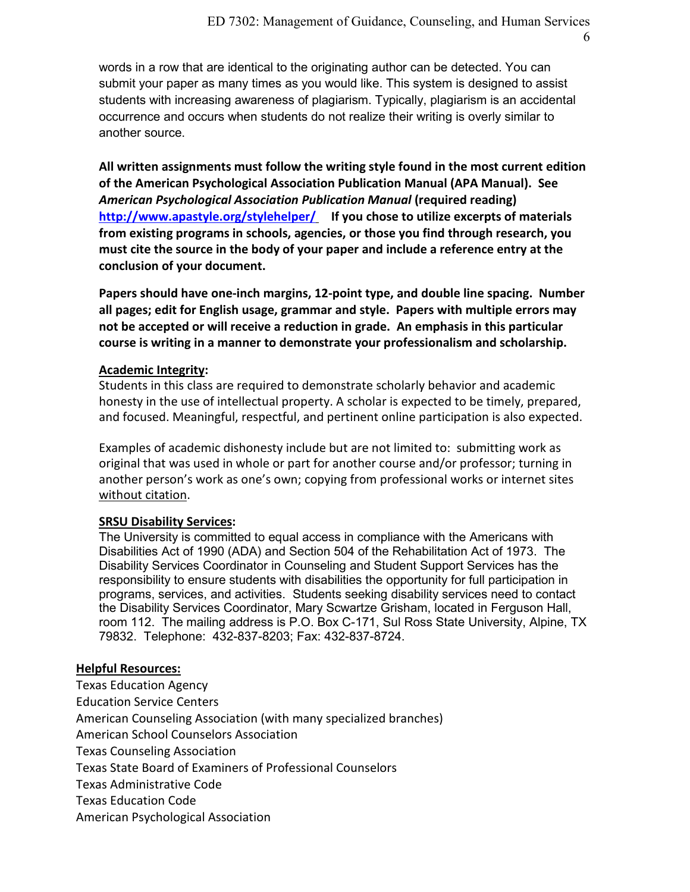6

words in a row that are identical to the originating author can be detected. You can submit your paper as many times as you would like. This system is designed to assist students with increasing awareness of plagiarism. Typically, plagiarism is an accidental occurrence and occurs when students do not realize their writing is overly similar to another source.

**All written assignments must follow the writing style found in the most current edition of the American Psychological Association Publication Manual (APA Manual). See**  *American Psychological Association Publication Manual* **(required reading) <http://www.apastyle.org/stylehelper/> If you chose to utilize excerpts of materials from existing programs in schools, agencies, or those you find through research, you must cite the source in the body of your paper and include a reference entry at the conclusion of your document.**

**Papers should have one-inch margins, 12-point type, and double line spacing. Number all pages; edit for English usage, grammar and style. Papers with multiple errors may not be accepted or will receive a reduction in grade. An emphasis in this particular course is writing in a manner to demonstrate your professionalism and scholarship.**

# **Academic Integrity:**

Students in this class are required to demonstrate scholarly behavior and academic honesty in the use of intellectual property. A scholar is expected to be timely, prepared, and focused. Meaningful, respectful, and pertinent online participation is also expected.

Examples of academic dishonesty include but are not limited to: submitting work as original that was used in whole or part for another course and/or professor; turning in another person's work as one's own; copying from professional works or internet sites without citation.

## **SRSU Disability Services:**

The University is committed to equal access in compliance with the Americans with Disabilities Act of 1990 (ADA) and Section 504 of the Rehabilitation Act of 1973. The Disability Services Coordinator in Counseling and Student Support Services has the responsibility to ensure students with disabilities the opportunity for full participation in programs, services, and activities. Students seeking disability services need to contact the Disability Services Coordinator, Mary Scwartze Grisham, located in Ferguson Hall, room 112. The mailing address is P.O. Box C-171, Sul Ross State University, Alpine, TX 79832. Telephone: 432-837-8203; Fax: 432-837-8724.

## **Helpful Resources:**

Texas Education Agency Education Service Centers American Counseling Association (with many specialized branches) American School Counselors Association Texas Counseling Association Texas State Board of Examiners of Professional Counselors Texas Administrative Code Texas Education Code American Psychological Association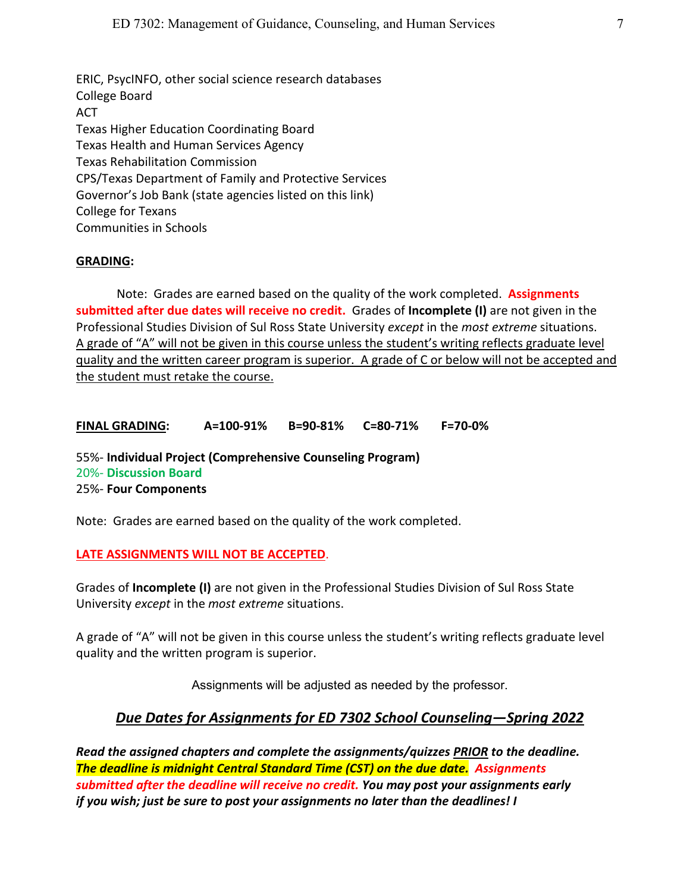ERIC, PsycINFO, other social science research databases College Board ACT Texas Higher Education Coordinating Board Texas Health and Human Services Agency Texas Rehabilitation Commission CPS/Texas Department of Family and Protective Services Governor's Job Bank (state agencies listed on this link) College for Texans Communities in Schools

### **GRADING:**

Note: Grades are earned based on the quality of the work completed. **Assignments submitted after due dates will receive no credit.** Grades of **Incomplete (I)** are not given in the Professional Studies Division of Sul Ross State University *except* in the *most extreme* situations. A grade of "A" will not be given in this course unless the student's writing reflects graduate level quality and the written career program is superior. A grade of C or below will not be accepted and the student must retake the course.

**FINAL GRADING: A=100-91% B=90-81% C=80-71% F=70-0%**

55%- **Individual Project (Comprehensive Counseling Program)** 20%- **Discussion Board** 25%- **Four Components**

Note: Grades are earned based on the quality of the work completed.

#### **LATE ASSIGNMENTS WILL NOT BE ACCEPTED**.

Grades of **Incomplete (I)** are not given in the Professional Studies Division of Sul Ross State University *except* in the *most extreme* situations.

A grade of "A" will not be given in this course unless the student's writing reflects graduate level quality and the written program is superior.

Assignments will be adjusted as needed by the professor.

# *Due Dates for Assignments for ED 7302 School Counseling—Spring 2022*

*Read the assigned chapters and complete the assignments/quizzes PRIOR to the deadline. The deadline is midnight Central Standard Time (CST) on the due date. Assignments submitted after the deadline will receive no credit. You may post your assignments early if you wish; just be sure to post your assignments no later than the deadlines! I*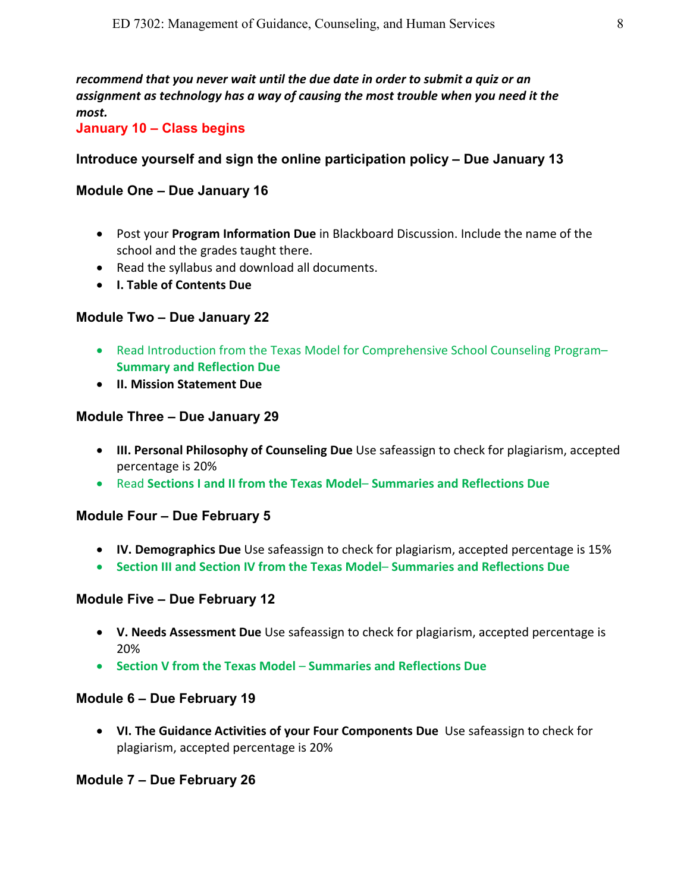*recommend that you never wait until the due date in order to submit a quiz or an assignment as technology has a way of causing the most trouble when you need it the most.* 

**January 10 – Class begins**

# **Introduce yourself and sign the online participation policy – Due January 13**

# **Module One – Due January 16**

- Post your **Program Information Due** in Blackboard Discussion. Include the name of the school and the grades taught there.
- Read the syllabus and download all documents.
- **I. Table of Contents Due**

# **Module Two – Due January 22**

- Read Introduction from the Texas Model for Comprehensive School Counseling Program– **Summary and Reflection Due**
- **II. Mission Statement Due**

# **Module Three – Due January 29**

- **III. Personal Philosophy of Counseling Due** Use safeassign to check for plagiarism, accepted percentage is 20%
- Read **Sections I and II from the Texas Model Summaries and Reflections Due**

# **Module Four – Due February 5**

- **IV. Demographics Due** Use safeassign to check for plagiarism, accepted percentage is 15%
- **Section III and Section IV from the Texas Model Summaries and Reflections Due**

# **Module Five – Due February 12**

- **V. Needs Assessment Due** Use safeassign to check for plagiarism, accepted percentage is 20%
- **Section V from the Texas Model Summaries and Reflections Due**

# **Module 6 – Due February 19**

• **VI. The Guidance Activities of your Four Components Due** Use safeassign to check for plagiarism, accepted percentage is 20%

# **Module 7 – Due February 26**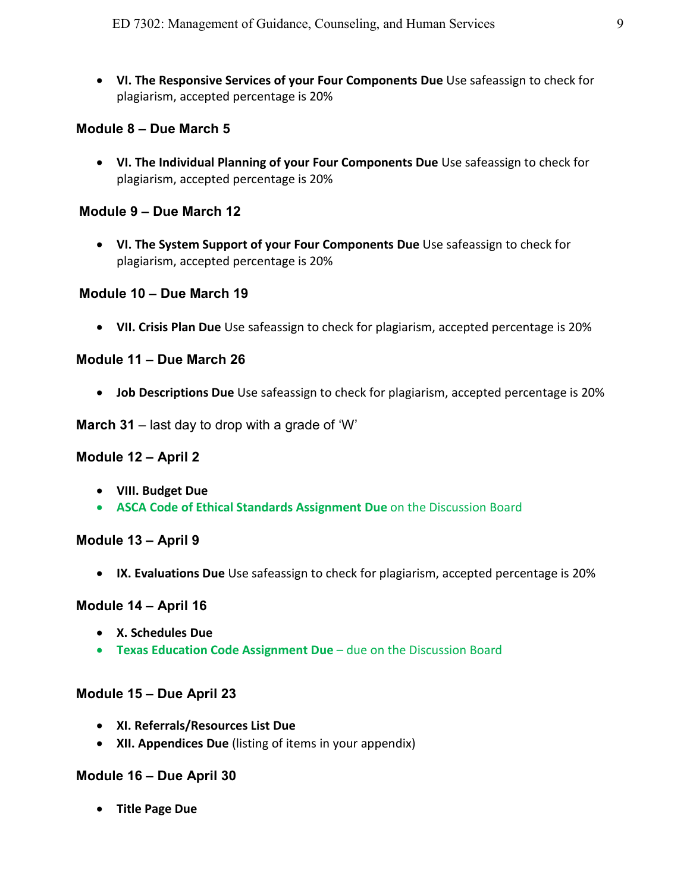• **VI. The Responsive Services of your Four Components Due** Use safeassign to check for plagiarism, accepted percentage is 20%

# **Module 8 – Due March 5**

• **VI. The Individual Planning of your Four Components Due** Use safeassign to check for plagiarism, accepted percentage is 20%

# **Module 9 – Due March 12**

• **VI. The System Support of your Four Components Due** Use safeassign to check for plagiarism, accepted percentage is 20%

# **Module 10 – Due March 19**

• **VII. Crisis Plan Due** Use safeassign to check for plagiarism, accepted percentage is 20%

# **Module 11 – Due March 26**

• **Job Descriptions Due** Use safeassign to check for plagiarism, accepted percentage is 20%

**March 31** – last day to drop with a grade of 'W'

## **Module 12 – April 2**

- **VIII. Budget Due**
- **ASCA Code of Ethical Standards Assignment Due** on the Discussion Board

## **Module 13 – April 9**

• **IX. Evaluations Due** Use safeassign to check for plagiarism, accepted percentage is 20%

## **Module 14 – April 16**

- **X. Schedules Due**
- **Texas Education Code Assignment Due** due on the Discussion Board

## **Module 15 – Due April 23**

- **XI. Referrals/Resources List Due**
- **XII. Appendices Due** (listing of items in your appendix)

# **Module 16 – Due April 30**

• **Title Page Due**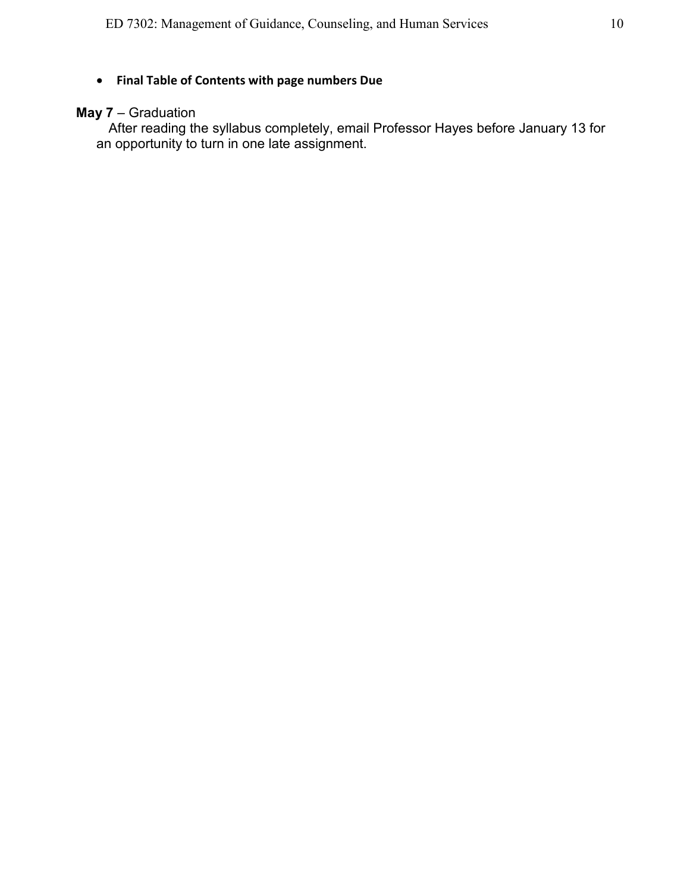# • **Final Table of Contents with page numbers Due**

# **May 7** – Graduation

After reading the syllabus completely, email Professor Hayes before January 13 for an opportunity to turn in one late assignment.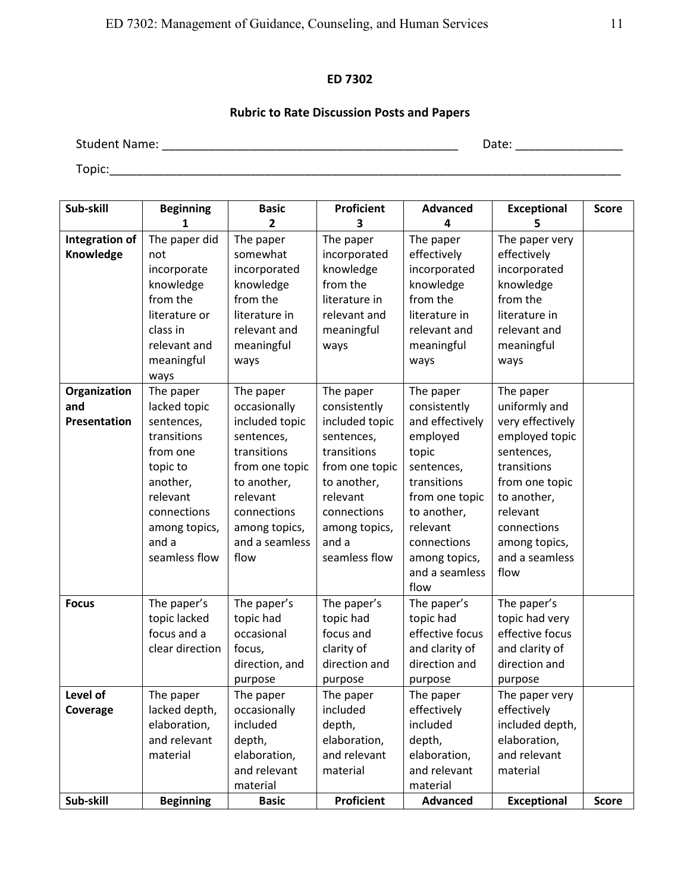### **ED 7302**

# **Rubric to Rate Discussion Posts and Papers**

Student Name: \_\_\_\_\_\_\_\_\_\_\_\_\_\_\_\_\_\_\_\_\_\_\_\_\_\_\_\_\_\_\_\_\_\_\_\_\_\_\_\_\_\_\_\_ Date: \_\_\_\_\_\_\_\_\_\_\_\_\_\_\_\_

Topic:\_\_\_\_\_\_\_\_\_\_\_\_\_\_\_\_\_\_\_\_\_\_\_\_\_\_\_\_\_\_\_\_\_\_\_\_\_\_\_\_\_\_\_\_\_\_\_\_\_\_\_\_\_\_\_\_\_\_\_\_\_\_\_\_\_\_\_\_\_\_\_\_\_\_\_\_

| Sub-skill                           | <b>Beginning</b>                                                                                                                                                 | <b>Basic</b>                                                                                                                                                                    | Proficient                                                                                                                                                                      | <b>Advanced</b>                                                                                                                                                                                       | <b>Exceptional</b>                                                                                                                                                                                   | <b>Score</b> |
|-------------------------------------|------------------------------------------------------------------------------------------------------------------------------------------------------------------|---------------------------------------------------------------------------------------------------------------------------------------------------------------------------------|---------------------------------------------------------------------------------------------------------------------------------------------------------------------------------|-------------------------------------------------------------------------------------------------------------------------------------------------------------------------------------------------------|------------------------------------------------------------------------------------------------------------------------------------------------------------------------------------------------------|--------------|
|                                     | 1                                                                                                                                                                | $\overline{2}$                                                                                                                                                                  | 3                                                                                                                                                                               | 4                                                                                                                                                                                                     | 5                                                                                                                                                                                                    |              |
| <b>Integration of</b><br>Knowledge  | The paper did<br>not<br>incorporate<br>knowledge<br>from the<br>literature or                                                                                    | The paper<br>somewhat<br>incorporated<br>knowledge<br>from the<br>literature in                                                                                                 | The paper<br>incorporated<br>knowledge<br>from the<br>literature in<br>relevant and                                                                                             | The paper<br>effectively<br>incorporated<br>knowledge<br>from the<br>literature in                                                                                                                    | The paper very<br>effectively<br>incorporated<br>knowledge<br>from the<br>literature in                                                                                                              |              |
|                                     | class in<br>relevant and<br>meaningful<br>ways                                                                                                                   | relevant and<br>meaningful<br>ways                                                                                                                                              | meaningful<br>ways                                                                                                                                                              | relevant and<br>meaningful<br>ways                                                                                                                                                                    | relevant and<br>meaningful<br>ways                                                                                                                                                                   |              |
| Organization<br>and<br>Presentation | The paper<br>lacked topic<br>sentences,<br>transitions<br>from one<br>topic to<br>another,<br>relevant<br>connections<br>among topics,<br>and a<br>seamless flow | The paper<br>occasionally<br>included topic<br>sentences,<br>transitions<br>from one topic<br>to another,<br>relevant<br>connections<br>among topics,<br>and a seamless<br>flow | The paper<br>consistently<br>included topic<br>sentences,<br>transitions<br>from one topic<br>to another,<br>relevant<br>connections<br>among topics,<br>and a<br>seamless flow | The paper<br>consistently<br>and effectively<br>employed<br>topic<br>sentences,<br>transitions<br>from one topic<br>to another,<br>relevant<br>connections<br>among topics,<br>and a seamless<br>flow | The paper<br>uniformly and<br>very effectively<br>employed topic<br>sentences,<br>transitions<br>from one topic<br>to another,<br>relevant<br>connections<br>among topics,<br>and a seamless<br>flow |              |
| <b>Focus</b>                        | The paper's<br>topic lacked<br>focus and a<br>clear direction                                                                                                    | The paper's<br>topic had<br>occasional<br>focus,<br>direction, and<br>purpose                                                                                                   | The paper's<br>topic had<br>focus and<br>clarity of<br>direction and<br>purpose                                                                                                 | The paper's<br>topic had<br>effective focus<br>and clarity of<br>direction and<br>purpose                                                                                                             | The paper's<br>topic had very<br>effective focus<br>and clarity of<br>direction and<br>purpose                                                                                                       |              |
| Level of<br>Coverage                | The paper<br>lacked depth,<br>elaboration,<br>and relevant<br>material                                                                                           | The paper<br>occasionally<br>included<br>depth,<br>elaboration,<br>and relevant<br>material                                                                                     | The paper<br>included<br>depth,<br>elaboration,<br>and relevant<br>material                                                                                                     | The paper<br>effectively<br>included<br>depth,<br>elaboration,<br>and relevant<br>material                                                                                                            | The paper very<br>effectively<br>included depth,<br>elaboration,<br>and relevant<br>material                                                                                                         |              |
| Sub-skill                           | <b>Beginning</b>                                                                                                                                                 | <b>Basic</b>                                                                                                                                                                    | <b>Proficient</b>                                                                                                                                                               | <b>Advanced</b>                                                                                                                                                                                       | <b>Exceptional</b>                                                                                                                                                                                   | <b>Score</b> |